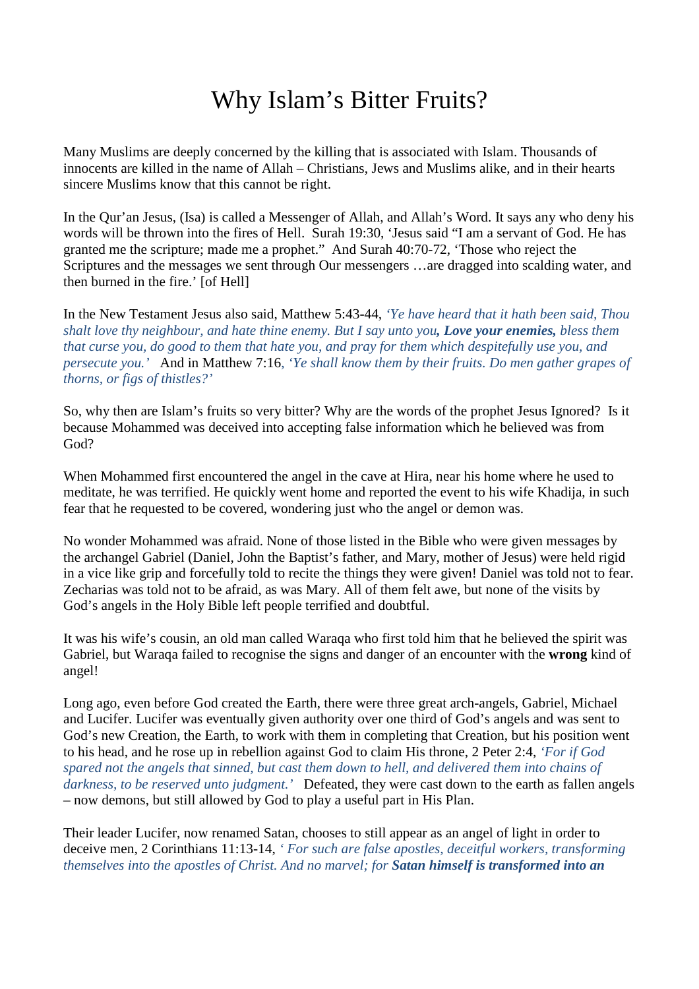## Why Islam's Bitter Fruits?

Many Muslims are deeply concerned by the killing that is associated with Islam. Thousands of innocents are killed in the name of Allah – Christians, Jews and Muslims alike, and in their hearts sincere Muslims know that this cannot be right.

In the Qur'an Jesus, (Isa) is called a Messenger of Allah, and Allah's Word. It says any who deny his words will be thrown into the fires of Hell. Surah 19:30, 'Jesus said "I am a servant of God. He has granted me the scripture; made me a prophet." And Surah 40:70-72, 'Those who reject the Scriptures and the messages we sent through Our messengers …are dragged into scalding water, and then burned in the fire.' [of Hell]

In the New Testament Jesus also said, Matthew 5:43-44*, 'Ye have heard that it hath been said, Thou shalt love thy neighbour, and hate thine enemy. But I say unto you, Love your enemies, bless them that curse you, do good to them that hate you, and pray for them which despitefully use you, and persecute you.'* And in Matthew 7:16, *'Ye shall know them by their fruits. Do men gather grapes of thorns, or figs of thistles?'* 

So, why then are Islam's fruits so very bitter? Why are the words of the prophet Jesus Ignored? Is it because Mohammed was deceived into accepting false information which he believed was from God?

When Mohammed first encountered the angel in the cave at Hira, near his home where he used to meditate, he was terrified. He quickly went home and reported the event to his wife Khadija, in such fear that he requested to be covered, wondering just who the angel or demon was.

No wonder Mohammed was afraid. None of those listed in the Bible who were given messages by the archangel Gabriel (Daniel, John the Baptist's father, and Mary, mother of Jesus) were held rigid in a vice like grip and forcefully told to recite the things they were given! Daniel was told not to fear. Zecharias was told not to be afraid, as was Mary. All of them felt awe, but none of the visits by God's angels in the Holy Bible left people terrified and doubtful.

It was his wife's cousin, an old man called Waraqa who first told him that he believed the spirit was Gabriel, but Waraqa failed to recognise the signs and danger of an encounter with the **wrong** kind of angel!

Long ago, even before God created the Earth, there were three great arch-angels, Gabriel, Michael and Lucifer. Lucifer was eventually given authority over one third of God's angels and was sent to God's new Creation, the Earth, to work with them in completing that Creation, but his position went to his head, and he rose up in rebellion against God to claim His throne, 2 Peter 2:4, *'For if God spared not the angels that sinned, but cast them down to hell, and delivered them into chains of darkness, to be reserved unto judgment.'* Defeated, they were cast down to the earth as fallen angels – now demons, but still allowed by God to play a useful part in His Plan.

Their leader Lucifer, now renamed Satan, chooses to still appear as an angel of light in order to deceive men, 2 Corinthians 11:13-14, *' For such are false apostles, deceitful workers, transforming themselves into the apostles of Christ. And no marvel; for Satan himself is transformed into an*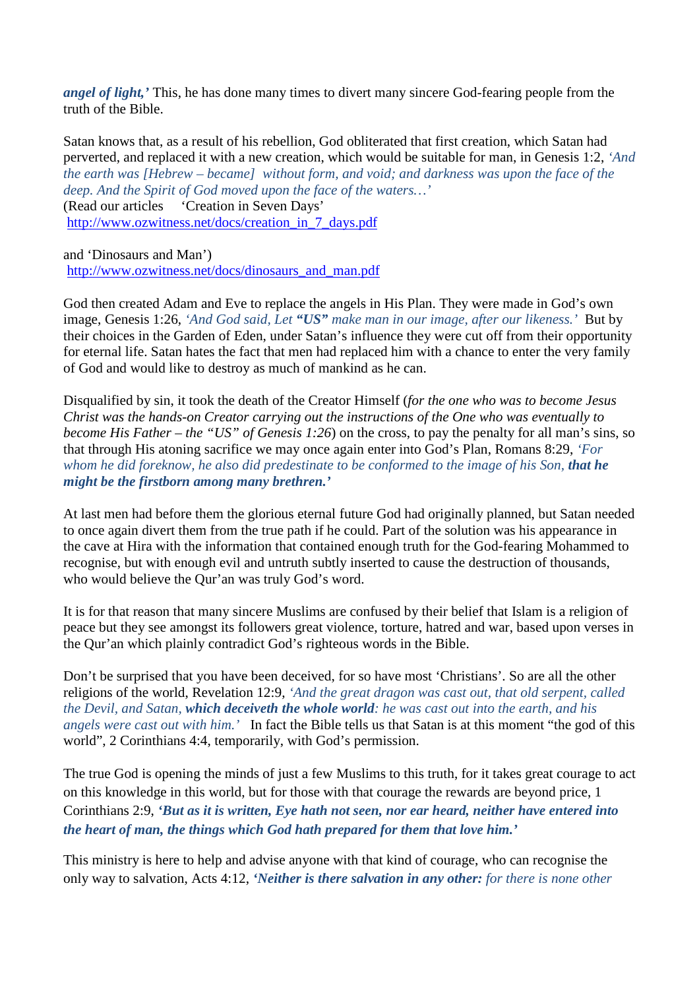*angel of light,'* This, he has done many times to divert many sincere God-fearing people from the truth of the Bible.

Satan knows that, as a result of his rebellion, God obliterated that first creation, which Satan had perverted, and replaced it with a new creation, which would be suitable for man, in Genesis 1:2, *'And the earth was [Hebrew – became] without form, and void; and darkness was upon the face of the deep. And the Spirit of God moved upon the face of the waters…'*  (Read our articles 'Creation in Seven Days' http://www.ozwitness.net/docs/creation\_in\_7\_days.pdf

and 'Dinosaurs and Man')

http://www.ozwitness.net/docs/dinosaurs\_and\_man.pdf

God then created Adam and Eve to replace the angels in His Plan. They were made in God's own image, Genesis 1:26, *'And God said, Let "US" make man in our image, after our likeness.'* But by their choices in the Garden of Eden, under Satan's influence they were cut off from their opportunity for eternal life. Satan hates the fact that men had replaced him with a chance to enter the very family of God and would like to destroy as much of mankind as he can.

Disqualified by sin, it took the death of the Creator Himself (*for the one who was to become Jesus Christ was the hands-on Creator carrying out the instructions of the One who was eventually to become His Father – the "US" of Genesis 1:26*) on the cross, to pay the penalty for all man's sins, so that through His atoning sacrifice we may once again enter into God's Plan, Romans 8:29, *'For whom he did foreknow, he also did predestinate to be conformed to the image of his Son, that he might be the firstborn among many brethren.'* 

At last men had before them the glorious eternal future God had originally planned, but Satan needed to once again divert them from the true path if he could. Part of the solution was his appearance in the cave at Hira with the information that contained enough truth for the God-fearing Mohammed to recognise, but with enough evil and untruth subtly inserted to cause the destruction of thousands, who would believe the Qur'an was truly God's word.

It is for that reason that many sincere Muslims are confused by their belief that Islam is a religion of peace but they see amongst its followers great violence, torture, hatred and war, based upon verses in the Qur'an which plainly contradict God's righteous words in the Bible.

Don't be surprised that you have been deceived, for so have most 'Christians'. So are all the other religions of the world, Revelation 12:9, *'And the great dragon was cast out, that old serpent, called the Devil, and Satan, which deceiveth the whole world: he was cast out into the earth, and his angels were cast out with him.'* In fact the Bible tells us that Satan is at this moment "the god of this world", 2 Corinthians 4:4, temporarily, with God's permission.

The true God is opening the minds of just a few Muslims to this truth, for it takes great courage to act on this knowledge in this world, but for those with that courage the rewards are beyond price, 1 Corinthians 2:9, *'But as it is written, Eye hath not seen, nor ear heard, neither have entered into the heart of man, the things which God hath prepared for them that love him.'*

This ministry is here to help and advise anyone with that kind of courage, who can recognise the only way to salvation, Acts 4:12, *'Neither is there salvation in any other: for there is none other*